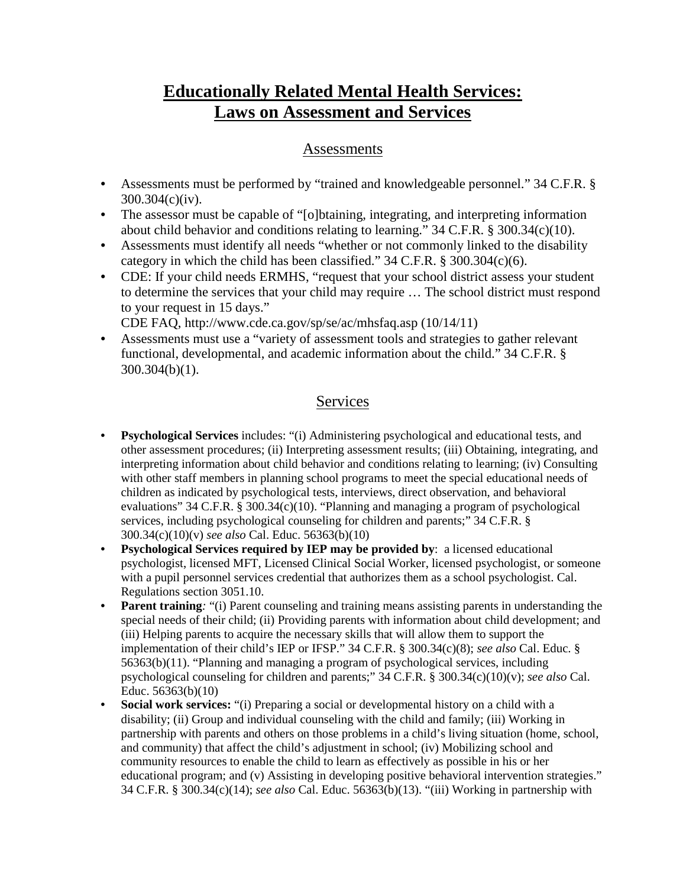## **Educationally Related Mental Health Services: Laws on Assessment and Services**

## Assessments

- Assessments must be performed by "trained and knowledgeable personnel." 34 C.F.R. § 300.304(c)(iv).
- The assessor must be capable of "[o]btaining, integrating, and interpreting information about child behavior and conditions relating to learning." 34 C.F.R. § 300.34(c)(10).
- Assessments must identify all needs "whether or not commonly linked to the disability category in which the child has been classified." 34 C.F.R. § 300.304(c)(6).
- CDE: If your child needs ERMHS, "request that your school district assess your student to determine the services that your child may require … The school district must respond to your request in 15 days."

CDE FAQ, http://www.cde.ca.gov/sp/se/ac/mhsfaq.asp (10/14/11)

• Assessments must use a "variety of assessment tools and strategies to gather relevant functional, developmental, and academic information about the child." 34 C.F.R. § 300.304(b)(1).

## Services

- **Psychological Services** includes: "(i) Administering psychological and educational tests, and other assessment procedures; (ii) Interpreting assessment results; (iii) Obtaining, integrating, and interpreting information about child behavior and conditions relating to learning; (iv) Consulting with other staff members in planning school programs to meet the special educational needs of children as indicated by psychological tests, interviews, direct observation, and behavioral evaluations" 34 C.F.R. § 300.34(c)(10). "Planning and managing a program of psychological services, including psychological counseling for children and parents;" 34 C.F.R. § 300.34(c)(10)(v) *see also* Cal. Educ. 56363(b)(10)
- **Psychological Services required by IEP may be provided by**: a licensed educational psychologist, licensed MFT, Licensed Clinical Social Worker, licensed psychologist, or someone with a pupil personnel services credential that authorizes them as a school psychologist. Cal. Regulations section 3051.10.
- **Parent training***:* "(i) Parent counseling and training means assisting parents in understanding the special needs of their child; (ii) Providing parents with information about child development; and (iii) Helping parents to acquire the necessary skills that will allow them to support the implementation of their child's IEP or IFSP." 34 C.F.R. § 300.34(c)(8); *see also* Cal. Educ. § 56363(b)(11). "Planning and managing a program of psychological services, including psychological counseling for children and parents;" 34 C.F.R. § 300.34(c)(10)(v); *see also* Cal. Educ. 56363(b)(10)
- **Social work services:** "(i) Preparing a social or developmental history on a child with a disability; (ii) Group and individual counseling with the child and family; (iii) Working in partnership with parents and others on those problems in a child's living situation (home, school, and community) that affect the child's adjustment in school; (iv) Mobilizing school and community resources to enable the child to learn as effectively as possible in his or her educational program; and (v) Assisting in developing positive behavioral intervention strategies." 34 C.F.R. § 300.34(c)(14); *see also* Cal. Educ. 56363(b)(13). "(iii) Working in partnership with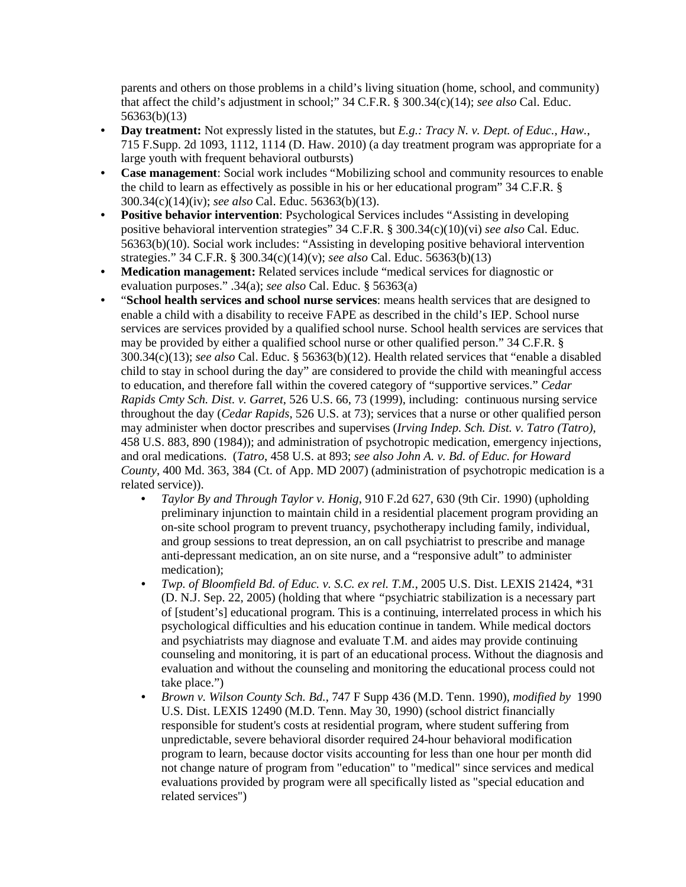parents and others on those problems in a child's living situation (home, school, and community) that affect the child's adjustment in school;" 34 C.F.R. § 300.34(c)(14); *see also* Cal. Educ. 56363(b)(13)

- **Day treatment:** Not expressly listed in the statutes, but *E.g.: Tracy N. v. Dept. of Educ., Haw.*, 715 F.Supp. 2d 1093, 1112, 1114 (D. Haw. 2010) (a day treatment program was appropriate for a large youth with frequent behavioral outbursts)
- **Case management**: Social work includes "Mobilizing school and community resources to enable the child to learn as effectively as possible in his or her educational program" 34 C.F.R. § 300.34(c)(14)(iv); *see also* Cal. Educ. 56363(b)(13).
- **Positive behavior intervention**: Psychological Services includes "Assisting in developing positive behavioral intervention strategies" 34 C.F.R. § 300.34(c)(10)(vi) *see also* Cal. Educ. 56363(b)(10). Social work includes: "Assisting in developing positive behavioral intervention strategies." 34 C.F.R. § 300.34(c)(14)(v); *see also* Cal. Educ. 56363(b)(13)
- **Medication management:** Related services include "medical services for diagnostic or evaluation purposes." .34(a); *see also* Cal. Educ. § 56363(a)
- "**School health services and school nurse services**: means health services that are designed to enable a child with a disability to receive FAPE as described in the child's IEP. School nurse services are services provided by a qualified school nurse. School health services are services that may be provided by either a qualified school nurse or other qualified person." 34 C.F.R. § 300.34(c)(13); *see also* Cal. Educ. § 56363(b)(12). Health related services that "enable a disabled child to stay in school during the day" are considered to provide the child with meaningful access to education, and therefore fall within the covered category of "supportive services." *Cedar Rapids Cmty Sch. Dist. v. Garret*, 526 U.S. 66, 73 (1999), including: continuous nursing service throughout the day (*Cedar Rapids*, 526 U.S. at 73); services that a nurse or other qualified person may administer when doctor prescribes and supervises (*Irving Indep. Sch. Dist. v. Tatro (Tatro)*, 458 U.S. 883, 890 (1984)); and administration of psychotropic medication, emergency injections, and oral medications. (*Tatro*, 458 U.S. at 893; *see also John A. v. Bd. of Educ. for Howard County*, 400 Md. 363, 384 (Ct. of App. MD 2007) (administration of psychotropic medication is a related service)).
	- *Taylor By and Through Taylor v. Honig*, 910 F.2d 627, 630 (9th Cir. 1990) (upholding preliminary injunction to maintain child in a residential placement program providing an on-site school program to prevent truancy, psychotherapy including family, individual, and group sessions to treat depression, an on call psychiatrist to prescribe and manage anti-depressant medication, an on site nurse, and a "responsive adult" to administer medication);
	- *Twp. of Bloomfield Bd. of Educ. v. S.C. ex rel. T.M.*, 2005 U.S. Dist. LEXIS 21424, \*31 (D. N.J. Sep. 22, 2005) (holding that where *"*psychiatric stabilization is a necessary part of [student's] educational program. This is a continuing, interrelated process in which his psychological difficulties and his education continue in tandem. While medical doctors and psychiatrists may diagnose and evaluate T.M. and aides may provide continuing counseling and monitoring, it is part of an educational process. Without the diagnosis and evaluation and without the counseling and monitoring the educational process could not take place.")
	- *Brown v. Wilson County Sch. Bd.*, 747 F Supp 436 (M.D. Tenn. 1990), *modified by* 1990 U.S. Dist. LEXIS 12490 (M.D. Tenn. May 30, 1990) (school district financially responsible for student's costs at residential program, where student suffering from unpredictable, severe behavioral disorder required 24-hour behavioral modification program to learn, because doctor visits accounting for less than one hour per month did not change nature of program from "education" to "medical" since services and medical evaluations provided by program were all specifically listed as "special education and related services")